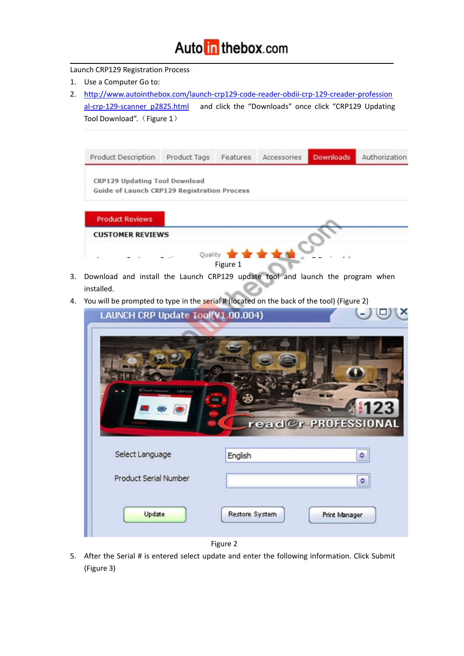#### Auto in the box.com

#### Launch CRP129 Registration Process

- 1. Use a Computer Go to:
- 2. [http://www.autointhebox.com/launch-crp129-code-reader-obdii-crp-129-creader-profession](http://www.autointhebox.com/launch-crp129-code-reader-obdii-crp-129-creader-professional-crp-129-scanner_p2825.html) al-crp-129-scanner\_p2825.html and click the "Downloads" once click "CRP129 Updating Tool Download". (Figure 1)

| Product Description                                                          | Product Tags | Features                        | Accessories | <b>Downloads</b> | Authorization |
|------------------------------------------------------------------------------|--------------|---------------------------------|-------------|------------------|---------------|
| CRP129 Updating Tool Download<br>Guide of Launch CRP129 Registration Process |              |                                 |             |                  |               |
| <b>Product Reviews</b>                                                       |              |                                 |             |                  |               |
| <b>CUSTOMER REVIEWS</b>                                                      |              |                                 |             |                  |               |
|                                                                              |              | Quality <b>****</b><br>Figure 1 |             |                  |               |

- 3. Download and install the Launch CRP129 update tool and launch the program when installed.
- 4. You will be prompted to type in the serial # (located on the back of the tool) (Figure 2)

| LAUNCH CRP Update Tool(V1.00.004) |                                 |
|-----------------------------------|---------------------------------|
| <b>Country Product</b><br>CRP1.23 | 123<br>read@r PROFESSIONAL      |
| Select Language                   | English<br>۰                    |
| <b>Product Serial Number</b>      | ٥                               |
| Update                            | Restore System<br>Print Manager |
|                                   |                                 |

- Figure 2
- 5. After the Serial # is entered select update and enter the following information. Click Submit (Figure 3)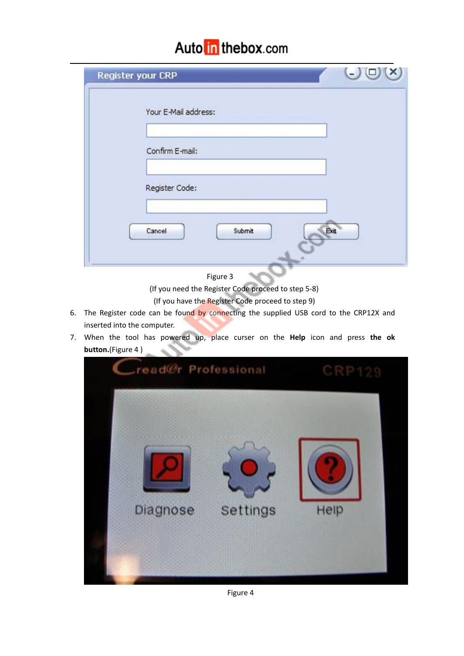### Auto in thebox.com

| $\overline{a}$<br>Register your CRP |
|-------------------------------------|
| Your E-Mail address:                |
| Confirm E-mail:                     |
| Register Code:                      |
| Exit<br>Cancel<br>Submit            |

Figure 3

(If you need the Register Code proceed to step 5-8)

(If you have the Register Code proceed to step 9)

- 6. The Register code can be found by connecting the supplied USB cord to the CRP12X and inserted into the computer.
- 7. When the tool has powered up, place curser on the **Help** icon and press **the ok button.**(Figure 4 )



Figure 4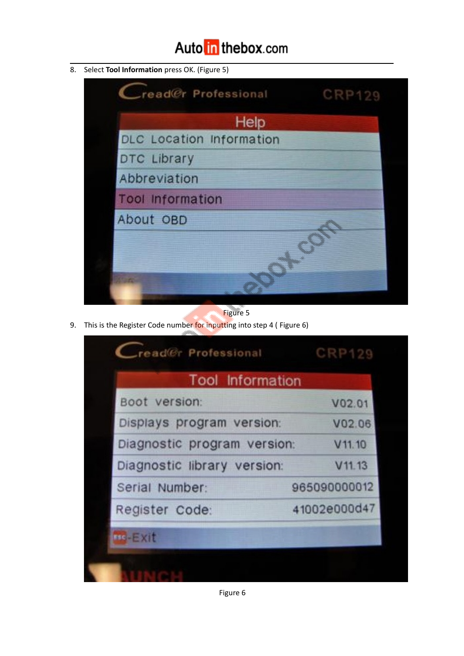## Auto in the box.com

8. Select **Tool Information** press OK. (Figure 5)



Figure 5

9. This is the Register Code number for inputting into step 4 (Figure 6)

| <b>Tool Information</b>     |              |
|-----------------------------|--------------|
| Boot version:               | V02.01       |
| Displays program version:   | V02.06       |
| Diagnostic program version: | V11.10       |
| Diagnostic library version: | V11.13       |
| Serial Number:              | 965090000012 |
| Register Code:              | 41002e000d47 |
| $HS - EXI$                  |              |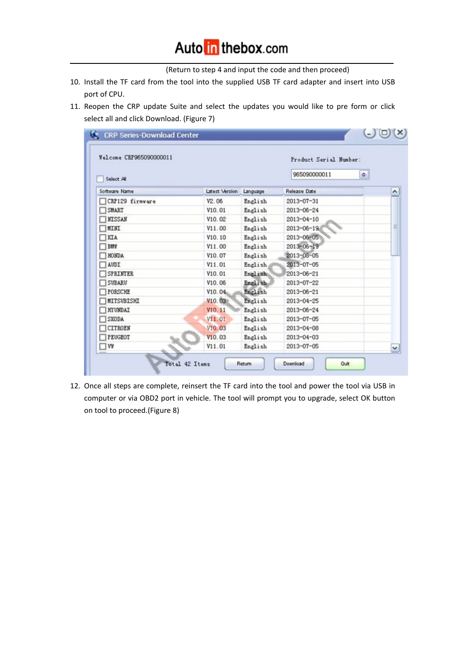(Return to step 4 and input the code and then proceed)

- 10. Install the TF card from the tool into the supplied USB TF card adapter and insert into USB port of CPU.
- 11. Reopen the CRP update Suite and select the updates you would like to pre form or click select all and click Download. (Figure 7)

| Welcome CRP965090000011 | Product Serial Number: |          |                  |   |
|-------------------------|------------------------|----------|------------------|---|
| Select All              | 965090000011<br>۰۱     |          |                  |   |
| Software Name           | Latest Version         | Language | Release Date     | ۸ |
| CRP129 firmware         | V <sub>2</sub> .06     | English  | 2013-07-31       |   |
| SHART                   | V10.01                 | English  | 2013-06-24       |   |
| <b>NTSSAN</b>           | V10.02                 | English  | $2013 - 04 - 10$ |   |
| <b>MINI</b>             | V11.00                 | English  | $2013 - 06 - 19$ |   |
| KTA                     | V10.10                 | English  | 2013-06-05       |   |
| BINY                    | V11.00                 | English  | $2013 - 06 - 19$ |   |
| <b>HONDA</b>            | V10.07                 | English  | 2013-08-05       |   |
| AUDI                    | V11.01                 | English  | 2013-07-05       |   |
| <b>SPRINTER</b>         | V10.01                 | English  | 2013-06-21       |   |
| SUBARU                  | V10.06                 | English  | 2013-07-22       |   |
| PORSCHE                 | V10.04                 | English  | 2013-06-21       |   |
| MITSUBISHI              | V10.03                 | English  | 2013-04-25       |   |
| <b>HYUNDAI</b>          | V10.11                 | English  | 2013-06-24       |   |
| SKODA                   | V11.01                 | English  | 2013-07-05       |   |
| CITROEN                 | V10.03                 | English  | $2013 - 04 - 08$ |   |
| PEUGEOT                 | V10.03                 | English  | 2013-04-03       |   |
| VY                      | V11.01                 | English  | 2013-07-05       | × |

12. Once all steps are complete, reinsert the TF card into the tool and power the tool via USB in computer or via OBD2 port in vehicle. The tool will prompt you to upgrade, select OK button on tool to proceed.(Figure 8)